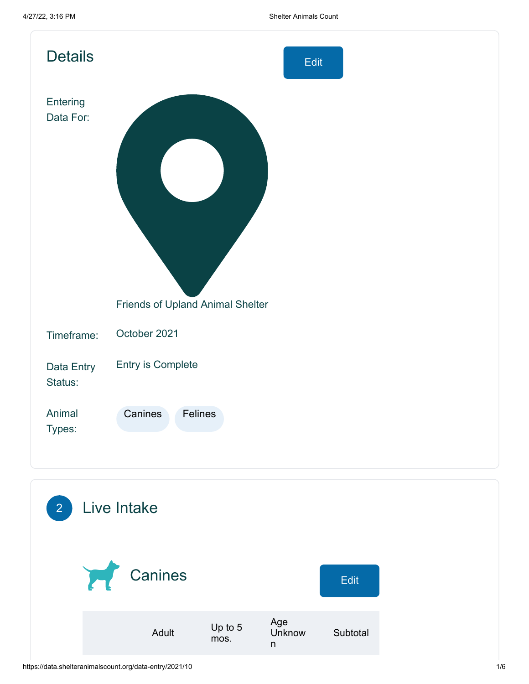| <b>Details</b>        | Edit                             |
|-----------------------|----------------------------------|
| Entering<br>Data For: |                                  |
|                       | Friends of Upland Animal Shelter |
| Timeframe:            | October 2021                     |
| Data Entry<br>Status: | Entry is Complete                |
| Animal<br>Types:      | Canines<br>Felines               |
|                       |                                  |

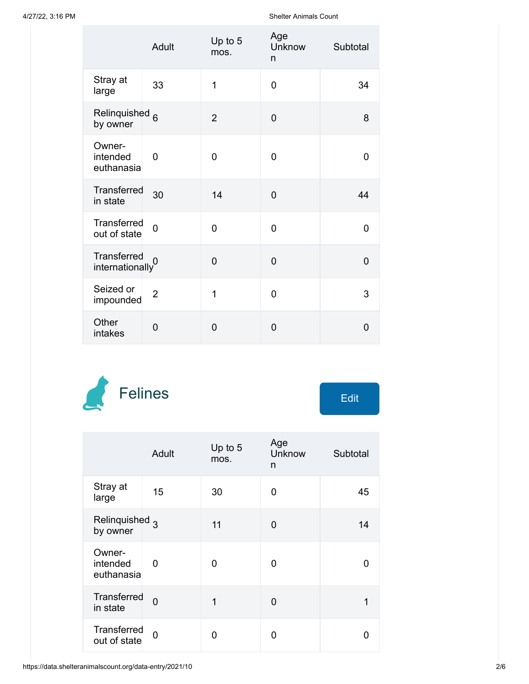A/27/22, 3:16 PM Shelter Animals Count

|                                              | Adult          | Up to 5<br>mos. | Age<br>Unknow<br>n | Subtotal       |
|----------------------------------------------|----------------|-----------------|--------------------|----------------|
| Stray at<br>large                            | 33             | $\overline{1}$  | $\overline{0}$     | 34             |
| Relinquished <sub>6</sub><br>by owner        |                | $\overline{2}$  | $\overline{0}$     | 8              |
| Owner-<br>intended<br>euthanasia             | $\overline{0}$ | 0               | 0                  | 0              |
| Transferred<br>in state                      | 30             | 14              | $\overline{0}$     | 44             |
| Transferred<br>out of state                  | $\overline{0}$ | 0               | $\overline{0}$     | 0              |
| Transferred<br>$\frac{1}{2}$ internationally |                | $\overline{0}$  | $\overline{0}$     | $\overline{0}$ |
| Seized or<br>impounded                       | $\overline{2}$ | $\overline{1}$  | 0                  | 3              |
| Other<br>intakes                             | 0              | $\overline{0}$  | 0                  | $\overline{0}$ |



| Edit |  |
|------|--|
|      |  |

|                                       | Adult          | Up to 5<br>mos. | Age<br><b>Unknow</b><br>n | Subtotal |
|---------------------------------------|----------------|-----------------|---------------------------|----------|
| Stray at<br>large                     | 15             | 30              | 0                         | 45       |
| Relinquished <sub>3</sub><br>by owner |                | 11              | 0                         | 14       |
| Owner-<br>intended<br>euthanasia      | 0              | 0               | O                         | 0        |
| <b>Transferred</b><br>in state        | $\Omega$       | 1               | 0                         | 1        |
| Transferred<br>out of state           | $\overline{0}$ | N               | ი                         | O        |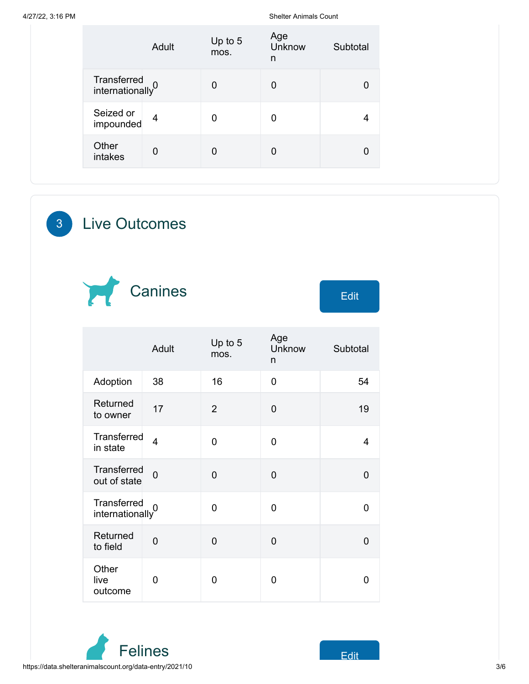A/27/22, 3:16 PM Shelter Animals Count

|                                             | Adult          | Up to 5<br>mos. | Age<br>Unknow<br>n | Subtotal |
|---------------------------------------------|----------------|-----------------|--------------------|----------|
| Transferred<br>internationally <sup>0</sup> |                | 0               | 0                  | 0        |
| Seized or<br>impounded                      | $\overline{4}$ | 0               | 0                  | 4        |
| Other<br>intakes                            | 0              | 0               | 0                  | 0        |

3 Live Outcomes



|                                             | Adult          | Up to $5$<br>mos. | Age<br>Unknow<br>n | Subtotal |
|---------------------------------------------|----------------|-------------------|--------------------|----------|
| Adoption                                    | 38             | 16                | 0                  | 54       |
| Returned<br>to owner                        | 17             | $\overline{2}$    | 0                  | 19       |
| Transferred<br>in state                     | $\overline{4}$ | $\overline{0}$    | $\overline{0}$     | 4        |
| <b>Transferred</b><br>out of state          | $\overline{0}$ | $\overline{0}$    | 0                  | 0        |
| Transferred<br>internationally <sup>0</sup> |                | $\overline{0}$    | 0                  | 0        |
| Returned<br>to field                        | $\mathbf 0$    | $\overline{0}$    | 0                  | 0        |
| Other<br>live<br>outcome                    | 0              | 0                 | 0                  | O        |

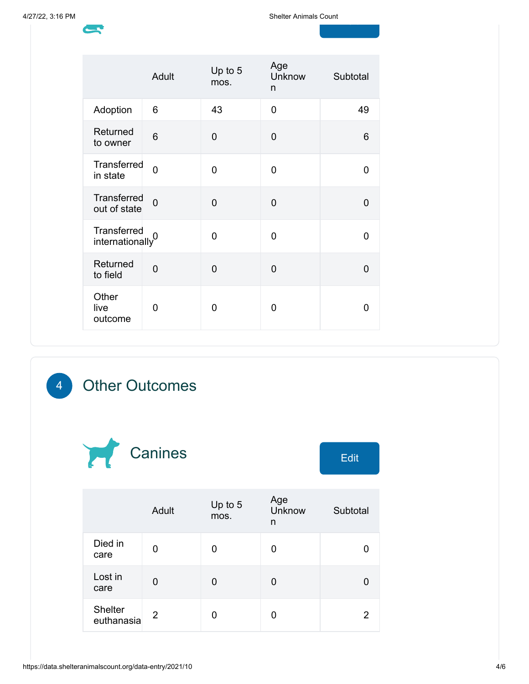d<br>1940 - Johann Barnett, amerikansk konge<br>1940 - Johann Barnett, amerikansk konge

|                                             | Adult          | Up to 5<br>mos. | Age<br>Unknow<br>n | Subtotal       |
|---------------------------------------------|----------------|-----------------|--------------------|----------------|
| Adoption                                    | 6              | 43              | 0                  | 49             |
| Returned<br>to owner                        | 6              | 0               | 0                  | 6              |
| Transferred<br>in state                     | $\overline{0}$ | 0               | 0                  | 0              |
| Transferred<br>out of state                 | $\overline{0}$ | $\overline{0}$  | 0                  | $\overline{0}$ |
| Transferred<br>internationally <sup>0</sup> |                | 0               | $\Omega$           | 0              |
| Returned<br>to field                        | $\overline{0}$ | 0               | 0                  | 0              |
| Other<br>live<br>outcome                    | 0              | 0               | 0                  | 0              |

## 4 Other Outcomes



|                       | Adult | Up to 5<br>mos. | Age<br>Unknow<br>n | Subtotal |
|-----------------------|-------|-----------------|--------------------|----------|
| Died in<br>care       | O     | 0               | 0                  |          |
| Lost in<br>care       | 0     | 0               | 0                  |          |
| Shelter<br>euthanasia | 2     | 0               | 0                  | 2        |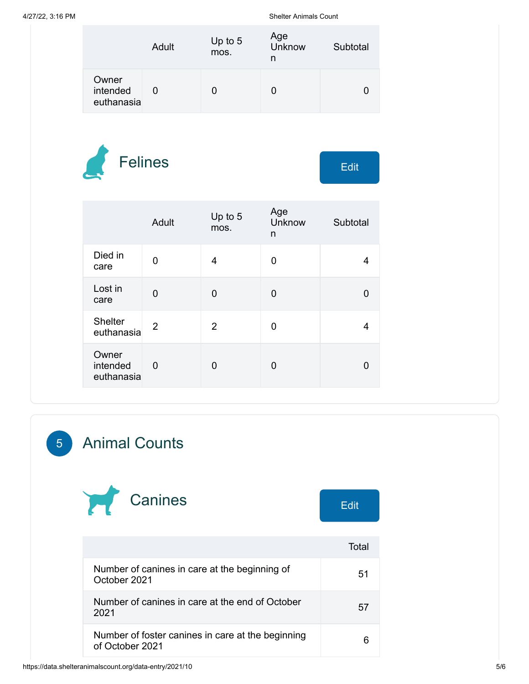A/27/22, 3:16 PM Shelter Animals Count

|                                 | Adult | Up to 5<br>mos. | Age<br>Unknow<br>n | Subtotal |
|---------------------------------|-------|-----------------|--------------------|----------|
| Owner<br>intended<br>euthanasia |       |                 |                    |          |



|                                 | Adult       | Up to 5<br>mos. | Age<br>Unknow<br>n | Subtotal |
|---------------------------------|-------------|-----------------|--------------------|----------|
| Died in<br>care                 | 0           | 4               | 0                  |          |
| Lost in<br>care                 | 0           | 0               | 0                  |          |
| <b>Shelter</b><br>euthanasia    | 2           | $\overline{2}$  | 0                  |          |
| Owner<br>intended<br>euthanasia | $\mathbf 0$ | U               | 0                  |          |

## 5 Animal Counts



|                                                                      | Total |
|----------------------------------------------------------------------|-------|
| Number of canines in care at the beginning of<br>October 2021        | 51    |
| Number of canines in care at the end of October<br>2021              | 57    |
| Number of foster canines in care at the beginning<br>of October 2021 |       |